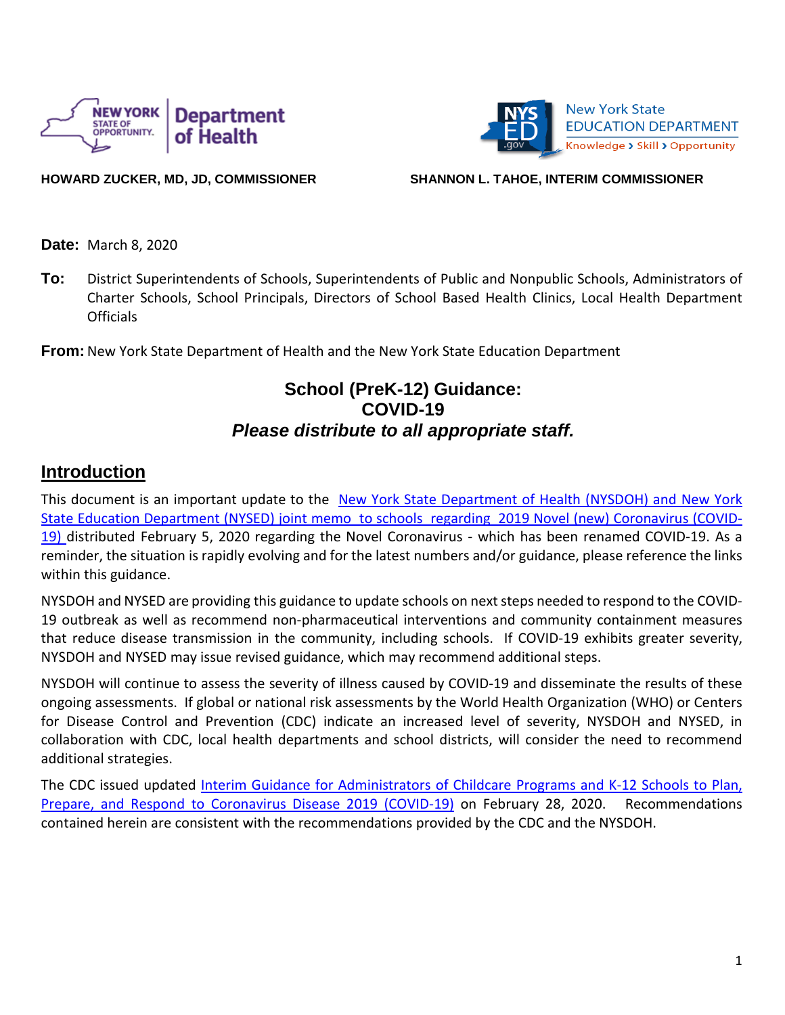



**HOWARD ZUCKER, MD, JD, COMMISSIONER SHANNON L. TAHOE, INTERIM COMMISSIONER**

**Date:** March 8, 2020

**To:** District Superintendents of Schools, Superintendents of Public and Nonpublic Schools, Administrators of Charter Schools, School Principals, Directors of School Based Health Clinics, Local Health Department **Officials** 

**From:** New York State Department of Health and the New York State Education Department

## **School (PreK-12) Guidance: COVID-19** *Please distribute to all appropriate staff.*

### **Introduction**

This document is an important update to the New York State Department of Health (NYSDOH) and New York State Education Department (NYSED) joint memo to schools regarding 2019 Novel (new) Coronavirus (COVID-19) distributed February 5, 2020 regarding the Novel Coronavirus - which has been renamed COVID-19. As a reminder, the situation is rapidly evolving and for the latest numbers and/or guidance, please reference the links within this guidance.

NYSDOH and NYSED are providing this guidance to update schools on next steps needed to respond to the COVID-19 outbreak as well as recommend non-pharmaceutical interventions and community containment measures that reduce disease transmission in the community, including schools. If COVID-19 exhibits greater severity, NYSDOH and NYSED may issue revised guidance, which may recommend additional steps.

NYSDOH will continue to assess the severity of illness caused by COVID-19 and disseminate the results of these ongoing assessments. If global or national risk assessments by the World Health Organization (WHO) or Centers for Disease Control and Prevention (CDC) indicate an increased level of severity, NYSDOH and NYSED, in collaboration with CDC, local health departments and school districts, will consider the need to recommend additional strategies.

The CDC issued updated Interim Guidance for [Administrators](https://www.cdc.gov/coronavirus/2019-ncov/specific-groups/guidance-for-schools.html) of Childcare Programs and K-12 Schools to Plan, Prepare, and Respond to [Coronavirus](https://www.cdc.gov/coronavirus/2019-ncov/specific-groups/guidance-for-schools.html) Disease 2019 (COVID-19) on February 28, 2020. Recommendations contained herein are consistent with the recommendations provided by the CDC and the NYSDOH.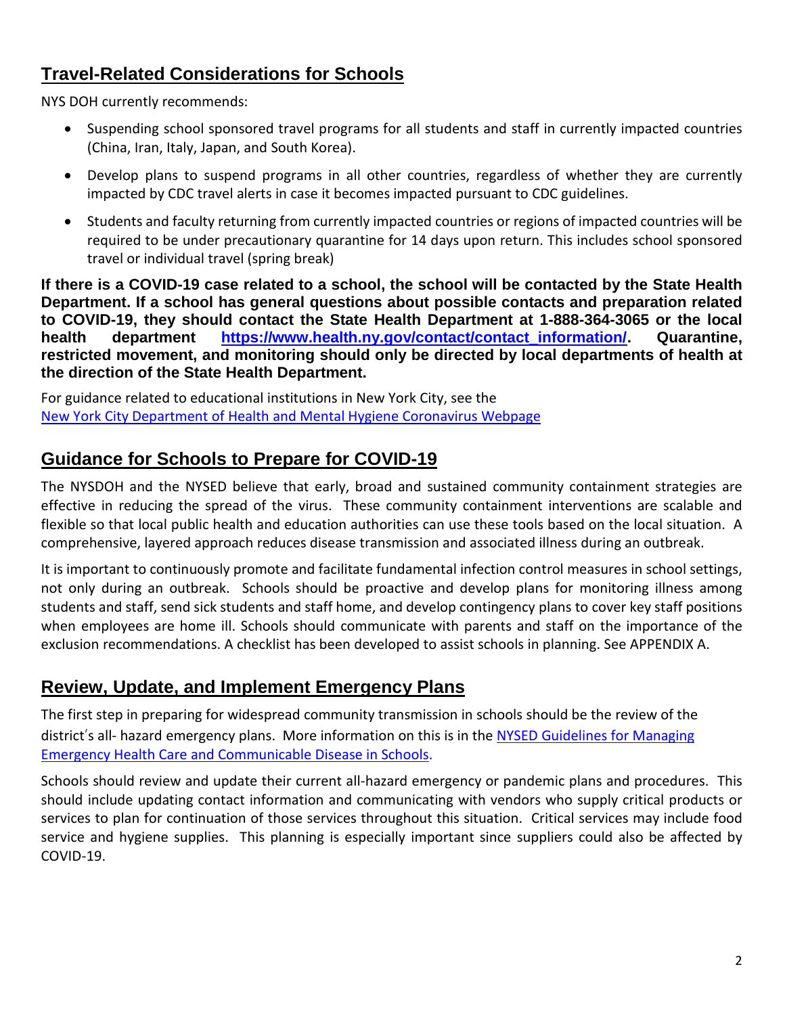## **Travel-Related Considerations for Schools**

NYS DOH currently recommends:

- Suspending school sponsored travel programs for all students and staff in currently impacted countries (China, Iran, Italy, Japan, and South Korea).
- Develop plans to suspend programs in all other countries, regardless of whether they are currently impacted by CDC travel alerts in case it becomes impacted pursuant to CDC guidelines.
- Students and faculty returning from currently impacted countries or regions of impacted countries will be required to be under precautionary quarantine for 14 days upon return. This includes school sponsored travel or individual travel (spring break)

If there is a COVID-19 case related to a school, the school will be contacted by the State Health **Department. If a school has general questions about possible contacts and preparation related to COVID-19, they should contact the State Health Department at 1-888-364-3065 or the local health department [https://www.health.ny.gov/contact/contact\\_information/.](https://www.health.ny.gov/contact/contact_information/) Quarantine, restricted movement, and monitoring should only be directed by local departments of health at the direction of the State Health Department.**

For guidance related to educational institutions in New York City, see the New York City [Department](https://www1.nyc.gov/site/doh/health/health-topics/coronavirus.page) of Health and Mental Hygiene Coronavirus Webpage

## **Guidance for Schools to Prepare for COVID-19**

The NYSDOH and the NYSED believe that early, broad and sustained community containment strategies are effective in reducing the spread of the virus. These community containment interventions are scalable and flexible so that local public health and education authorities can use these tools based on the local situation. A comprehensive, layered approach reduces disease transmission and associated illness during an outbreak.

It is important to continuously promote and facilitate fundamental infection control measures in school settings, not only during an outbreak. Schools should be proactive and develop plans for monitoring illness among students and staff, send sick students and staff home, and develop contingency plans to cover key staff positions when employees are home ill. Schools should communicate with parents and staff on the importance of the exclusion recommendations. A checklist has been developed to assist schools in planning. See APPENDIX A.

## **Review, Update, and Implement Emergency Plans**

The first step in preparing for widespread community transmission in schools should be the review of the district's all- hazard emergency plans. More information on this is in the NYSED [Guidelines](http://www.p12.nysed.gov/sss/documents/ManagingEmergencies.pdf) for Managing Emergency Health Care and [Communicable](http://www.p12.nysed.gov/sss/documents/ManagingEmergencies.pdf) Disease in Schools.

Schools should review and update their current all-hazard emergency or pandemic plans and procedures. This should include updating contact information and communicating with vendors who supply critical products or services to plan for continuation of those services throughout this situation. Critical services may include food service and hygiene supplies. This planning is especially important since suppliers could also be affected by COVID-19.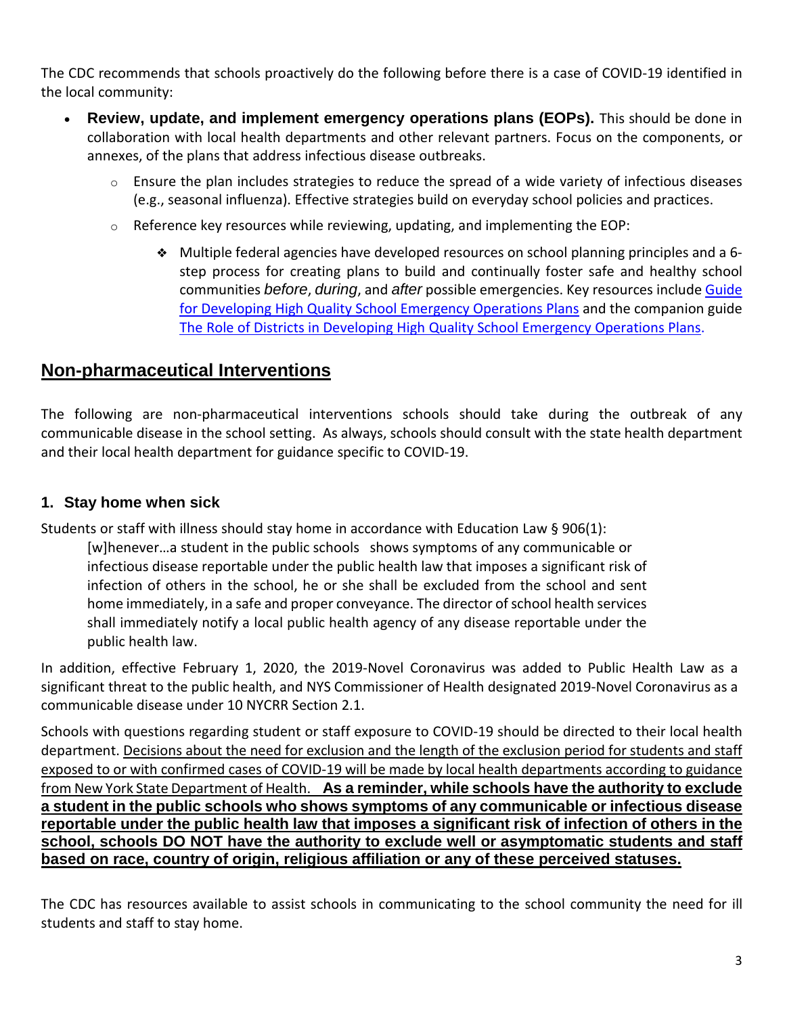The CDC recommends that schools proactively do the following before there is a case of COVID-19 identified in the local community:

- **Review, update, and implement emergency operations plans (EOPs).** This should be done in collaboration with local health departments and other relevant partners. Focus on the components, or annexes, of the plans that address infectious disease outbreaks.
	- $\circ$  Ensure the plan includes strategies to reduce the spread of a wide variety of infectious diseases (e.g., seasonal influenza). Effective strategies build on everyday school policies and practices.
	- o Reference key resources while reviewing, updating, and implementing the EOP:
		- ❖ Multiple federal agencies have developed resources on school planning principles and a 6 step process for creating plans to build and continually foster safe and healthy school communities *before*, *during*, and *after* possible emergencies. Key resources include [Guide](https://rems.ed.gov/docs/Guide_for_Developing_HQ_School_EOPs.pdf) for [Developing](https://rems.ed.gov/docs/Guide_for_Developing_HQ_School_EOPs.pdf) High Quality School Emergency Operations Plans and the companion guide The Role of Districts in [Developing](https://rems.ed.gov/docs/District_Guide_508C.pdf) High Quality School Emergency Operations Plans.

### **Non-pharmaceutical Interventions**

The following are non-pharmaceutical interventions schools should take during the outbreak of any communicable disease in the school setting. As always, schools should consult with the state health department and their local health department for guidance specific to COVID-19.

#### **1. Stay home when sick**

Students or staff with illness should stay home in accordance with Education Law § 906(1):

[w]henever…a student in the public schools shows symptoms of any communicable or infectious disease reportable under the public health law that imposes a significant risk of infection of others in the school, he or she shall be excluded from the school and sent home immediately, in a safe and proper conveyance. The director of school health services shall immediately notify a local public health agency of any disease reportable under the public health law.

In addition, effective February 1, 2020, the 2019-Novel Coronavirus was added to Public Health Law as a significant threat to the public health, and NYS Commissioner of Health designated 2019-Novel Coronavirus as a communicable disease under 10 NYCRR Section 2.1.

Schools with questions regarding student or staff exposure to COVID-19 should be directed to their local health department. Decisions about the need for exclusion and the length of the exclusion period for students and staff exposed to or with confirmed cases of COVID-19 will be made by local health departments according to guidance from New York State Department of Health. **As a reminder, while schools have the authority to exclude a student in the public schools who shows symptoms of any communicable or infectious disease reportable under the public health law that imposes a significant risk of infection of others in the school, schools DO NOT have the authority to exclude well or asymptomatic students and staff based on race, country of origin, religious affiliation or any of these perceived statuses.**

The CDC has resources available to assist schools in communicating to the school community the need for ill students and staff to stay home.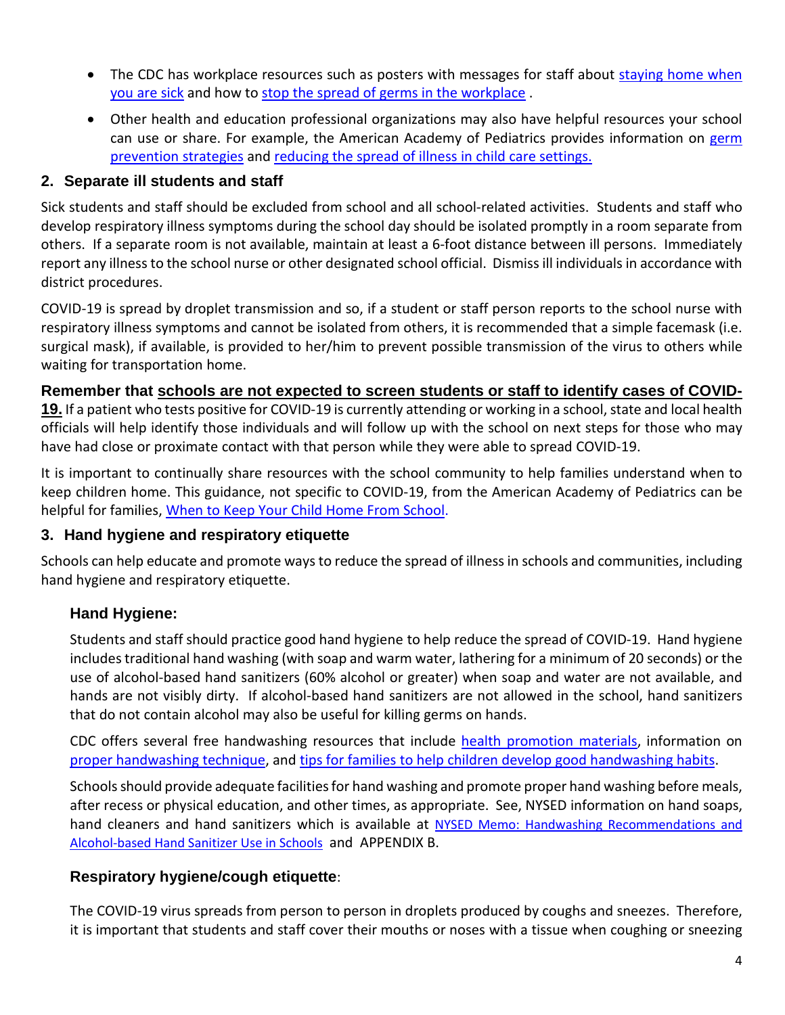- The CDC has workplace resources such as posters with messages for staff about [staying](https://www.cdc.gov/nonpharmaceutical-interventions/pdf/stay-home-youre-sick-employers-item4.pdf) home when [you](https://www.cdc.gov/nonpharmaceutical-interventions/pdf/stay-home-youre-sick-employers-item4.pdf) are sick and how to stop the spread of germs in the [workplace](https://www.cdc.gov/nonpharmaceutical-interventions/pdf/dont-spread-germs-work-employers-item2.pdf) .
- Other health and education professional organizations may also have helpful resources your school can use or share. For example, the American Academy of Pediatrics provides information on [germ](https://www.healthychildren.org/English/health-issues/conditions/prevention/Pages/Germ-Prevention-Strategies.aspx) [prevention](https://www.healthychildren.org/English/health-issues/conditions/prevention/Pages/Germ-Prevention-Strategies.aspx) strategies and [reducing](https://www.healthychildren.org/English/health-issues/conditions/prevention/Pages/Prevention-In-Child-Care-or-School.aspx) the spread of illness in child care settings.

### **2. Separate ill students and staff**

Sick students and staff should be excluded from school and all school-related activities. Students and staff who develop respiratory illness symptoms during the school day should be isolated promptly in a room separate from others. If a separate room is not available, maintain at least a 6-foot distance between ill persons. Immediately report any illnessto the school nurse or other designated school official. Dismiss ill individuals in accordance with district procedures.

COVID-19 is spread by droplet transmission and so, if a student or staff person reports to the school nurse with respiratory illness symptoms and cannot be isolated from others, it is recommended that a simple facemask (i.e. surgical mask), if available, is provided to her/him to prevent possible transmission of the virus to others while waiting for transportation home.

### **Remember that schools are not expected to screen students or staff to identify cases of COVID-**

**19.** If a patient who tests positive for COVID-19 is currently attending or working in a school, state and local health officials will help identify those individuals and will follow up with the school on next steps for those who may have had close or proximate contact with that person while they were able to spread COVID-19.

It is important to continually share resources with the school community to help families understand when to keep children home. This guidance, not specific to COVID-19, from the American Academy of Pediatrics can be helpful for families, When to Keep Your Child Home From [School.](https://www.healthychildren.org/English/ages-stages/gradeschool/school/Pages/When-to-Keep-Your-Child-Home-from-School.aspx)

#### **3. Hand hygiene and respiratory etiquette**

Schools can help educate and promote waysto reduce the spread of illnessin schools and communities, including hand hygiene and respiratory etiquette.

### **Hand Hygiene:**

Students and staff should practice good hand hygiene to help reduce the spread of COVID-19. Hand hygiene includes traditional hand washing (with soap and warm water, lathering for a minimum of 20 seconds) or the use of alcohol-based hand sanitizers (60% alcohol or greater) when soap and water are not available, and hands are not visibly dirty. If alcohol-based hand sanitizers are not allowed in the school, hand sanitizers that do not contain alcohol may also be useful for killing germs on hands.

CDC offers several free handwashing resources that include health [promotion](http://www.cdc.gov/handwashing/materials.html) materials, information on proper [handwashing](https://www.cdc.gov/handwashing/when-how-handwashing.html) technique, and tips for families to help children develop good [handwashing](https://www.cdc.gov/handwashing/handwashing-family.html) habits.

Schools should provide adequate facilities for hand washing and promote proper hand washing before meals, after recess or physical education, and other times, as appropriate. See, NYSED information on hand soaps, hand cleaners and hand sanitizers which is available at NYSED Memo: Handwashing [Recommendations](http://www.p12.nysed.gov/sss/schoolhealth/schoolhealthservices/handwashing-recommendations-alcohol-based-hand-sanitizer-use-in-schools.pdf) and [Alcohol-based](http://www.p12.nysed.gov/sss/schoolhealth/schoolhealthservices/handwashing-recommendations-alcohol-based-hand-sanitizer-use-in-schools.pdf) Hand Sanitizer Use in Schools and APPENDIX B.

### **Respiratory hygiene/cough etiquette**:

The COVID-19 virus spreads from person to person in droplets produced by coughs and sneezes. Therefore, it is important that students and staff cover their mouths or noses with a tissue when coughing or sneezing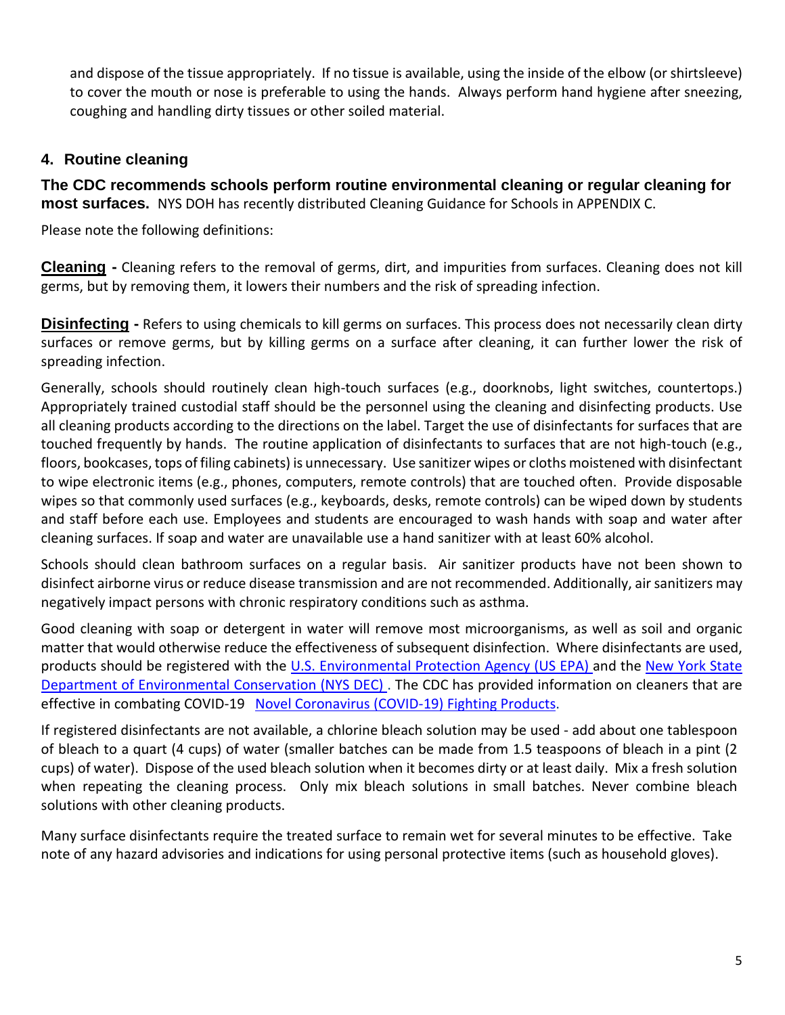and dispose of the tissue appropriately. If no tissue is available, using the inside of the elbow (or shirtsleeve) to cover the mouth or nose is preferable to using the hands. Always perform hand hygiene after sneezing, coughing and handling dirty tissues or other soiled material.

#### **4. Routine cleaning**

**The CDC recommends schools perform routine environmental cleaning or regular cleaning for most surfaces.** NYS DOH has recently distributed Cleaning Guidance for Schools in APPENDIX C.

Please note the following definitions:

**Cleaning -** Cleaning refers to the removal of germs, dirt, and impurities from surfaces. Cleaning does not kill germs, but by removing them, it lowers their numbers and the risk of spreading infection.

**Disinfecting -** Refers to using chemicals to kill germs on surfaces. This process does not necessarily clean dirty surfaces or remove germs, but by killing germs on a surface after cleaning, it can further lower the risk of spreading infection.

Generally, schools should routinely clean high-touch surfaces (e.g., doorknobs, light switches, countertops.) Appropriately trained custodial staff should be the personnel using the cleaning and disinfecting products. Use all cleaning products according to the directions on the label. Target the use of disinfectants for surfaces that are touched frequently by hands. The routine application of disinfectants to surfaces that are not high-touch (e.g., floors, bookcases, tops of filing cabinets) is unnecessary. Use sanitizer wipes or cloths moistened with disinfectant to wipe electronic items (e.g., phones, computers, remote controls) that are touched often. Provide disposable wipes so that commonly used surfaces (e.g., keyboards, desks, remote controls) can be wiped down by students and staff before each use. Employees and students are encouraged to wash hands with soap and water after cleaning surfaces. If soap and water are unavailable use a hand sanitizer with at least 60% alcohol.

Schools should clean bathroom surfaces on a regular basis. Air sanitizer products have not been shown to disinfect airborne virus or reduce disease transmission and are not recommended. Additionally, air sanitizers may negatively impact persons with chronic respiratory conditions such as asthma.

Good cleaning with soap or detergent in water will remove most microorganisms, as well as soil and organic matter that would otherwise reduce the effectiveness of subsequent disinfection. Where disinfectants are used, products should be registered with the U.S. [Environmental](https://www.epa.gov/) Protection Agency (US EPA) and the New York [State](http://www.dec.ny.gov/) Department of [Environmental](http://www.dec.ny.gov/) Conservation (NYS DEC) . The CDC has provided information on cleaners that are effective in combating COVID-19 Novel [Coronavirus](https://www.americanchemistry.com/Novel-Coronavirus-Fighting-Products-List.pdf) (COVID-19) Fighting Products.

If registered disinfectants are not available, a chlorine bleach solution may be used - add about one tablespoon of bleach to a quart (4 cups) of water (smaller batches can be made from 1.5 teaspoons of bleach in a pint (2 cups) of water). Dispose of the used bleach solution when it becomes dirty or at least daily. Mix a fresh solution when repeating the cleaning process. Only mix bleach solutions in small batches. Never combine bleach solutions with other cleaning products.

Many surface disinfectants require the treated surface to remain wet for several minutes to be effective. Take note of any hazard advisories and indications for using personal protective items (such as household gloves).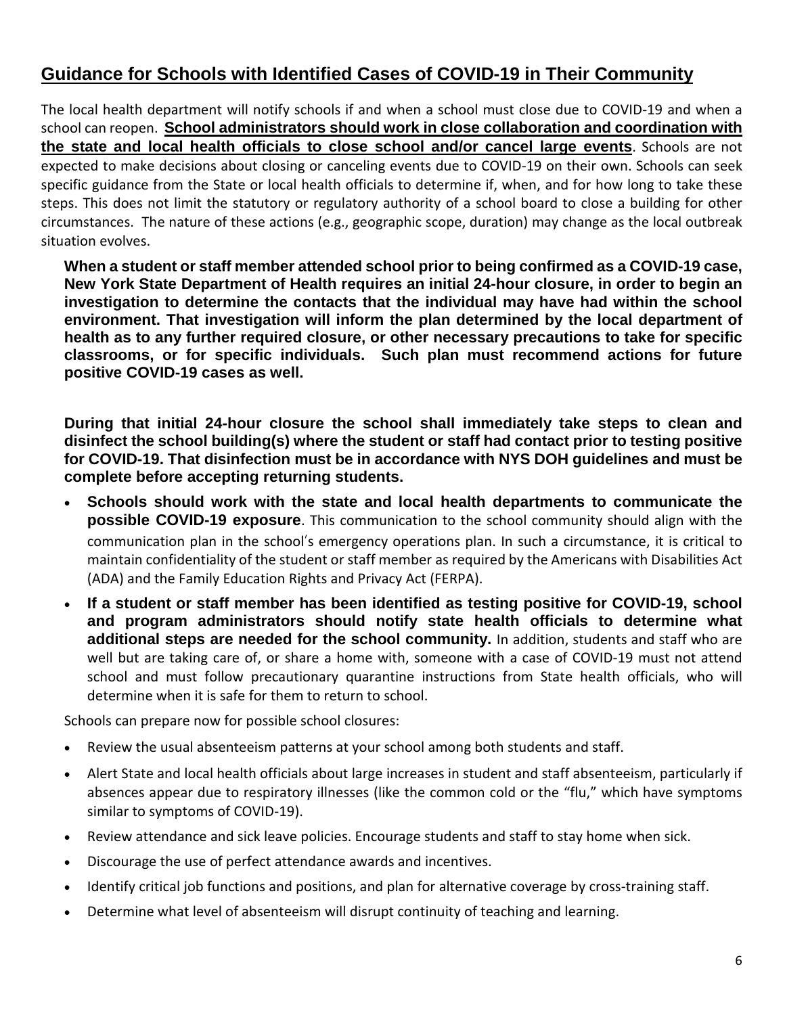## **Guidance for Schools with Identified Cases of COVID-19 in Their Community**

The local health department will notify schools if and when a school must close due to COVID-19 and when a school can reopen. **School administrators should work in close collaboration and coordination with the state and local health officials to close school and/or cancel large events**. Schools are not expected to make decisions about closing or canceling events due to COVID-19 on their own. Schools can seek specific guidance from the State or local health officials to determine if, when, and for how long to take these steps. This does not limit the statutory or regulatory authority of a school board to close a building for other circumstances. The nature of these actions (e.g., geographic scope, duration) may change as the local outbreak situation evolves.

**When a student or staff member attended school prior to being confirmed as a COVID-19 case, New York State Department of Health requires an initial 24-hour closure, in order to begin an investigation to determine the contacts that the individual may have had within the school environment. That investigation will inform the plan determined by the local department of health as to any further required closure, or other necessary precautions to take for specific classrooms, or for specific individuals. Such plan must recommend actions for future positive COVID-19 cases as well.**

**During that initial 24-hour closure the school shall immediately take steps to clean and disinfect the school building(s) where the student or staff had contact prior to testing positive for COVID-19. That disinfection must be in accordance with NYS DOH guidelines and must be complete before accepting returning students.**

- **Schools should work with the state and local health departments to communicate the possible COVID-19 exposure**. This communication to the school community should align with the communication plan in the school's emergency operations plan. In such a circumstance, it is critical to maintain confidentiality of the student or staff member as required by the Americans with Disabilities Act (ADA) and the Family Education Rights and Privacy Act (FERPA).
- **If a student or staff member has been identified as testing positive for COVID-19, school and program administrators should notify state health officials to determine what additional steps are needed for the school community.** In addition, students and staff who are well but are taking care of, or share a home with, someone with a case of COVID-19 must not attend school and must follow precautionary quarantine instructions from State health officials, who will determine when it is safe for them to return to school.

Schools can prepare now for possible school closures:

- Review the usual absenteeism patterns at your school among both students and staff.
- Alert State and local health officials about large increases in student and staff absenteeism, particularly if absences appear due to respiratory illnesses (like the common cold or the "flu," which have symptoms similar to symptoms of COVID-19).
- Review attendance and sick leave policies. Encourage students and staff to stay home when sick.
- Discourage the use of perfect attendance awards and incentives.
- Identify critical job functions and positions, and plan for alternative coverage by cross-training staff.
- Determine what level of absenteeism will disrupt continuity of teaching and learning.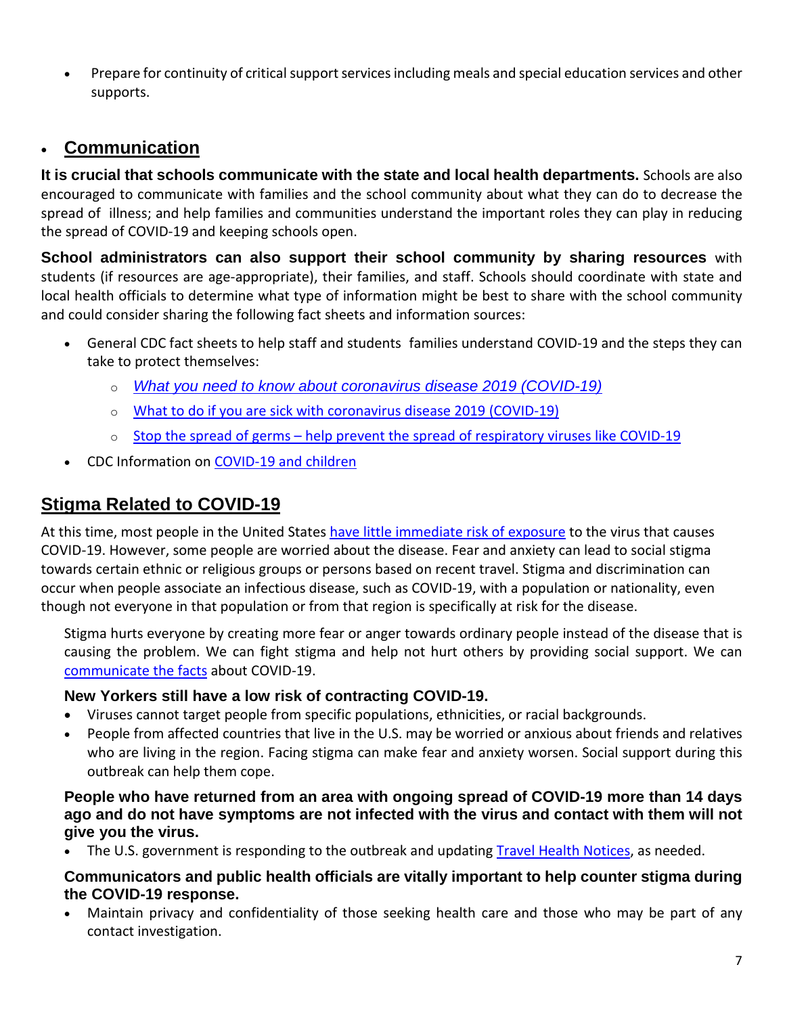• Prepare for continuity of critical support services including meals and special education services and other supports.

## **Communication**

**It is crucial that schools communicate with the state and local health departments.** Schools are also encouraged to communicate with families and the school community about what they can do to decrease the spread of illness; and help families and communities understand the important roles they can play in reducing the spread of COVID-19 and keeping schools open.

**School administrators can also support their school community by sharing resources** with students (if resources are age-appropriate), their families, and staff. Schools should coordinate with state and local health officials to determine what type of information might be best to share with the school community and could consider sharing the following fact sheets and information sources:

- General CDC fact sheets to help staff and students families understand COVID-19 and the steps they can take to protect themselves:
	- o *What you need to know about coronavirus disease 2019 [\(COVID-19\)](https://www.cdc.gov/coronavirus/2019-ncov/downloads/2019-ncov-factsheet.pdf)*
	- o What to do if you are sick with [coronavirus](https://www.cdc.gov/coronavirus/2019-ncov/about/steps-when-sick.html) disease 2019 (COVID-19)
	- $\circ$  Stop the spread of germs help prevent the spread of [respiratory](https://www.cdc.gov/coronavirus/2019-ncov/downloads/stop-the-spread-of-germs.pdf) viruses like COVID-19
- CDC Information on [COVID-19](https://www.cdc.gov/coronavirus/2019-ncov/specific-groups/children-faq.html) and children

## **Stigma Related to COVID-19**

At this time, most people in the United States have little [immediate](https://www.cdc.gov/coronavirus/2019-nCoV/summary.html#risk-assessment) risk of exposure to the virus that causes COVID-19. However, some people are worried about the disease. Fear and anxiety can lead to social stigma towards certain ethnic or religious groups or persons based on recent travel. Stigma and discrimination can occur when people associate an infectious disease, such as COVID-19, with a population or nationality, even though not everyone in that population or from that region is specifically at risk for the disease.

Stigma hurts everyone by creating more fear or anger towards ordinary people instead of the disease that is causing the problem. We can fight stigma and help not hurt others by providing social support. We can [communicate](https://www.cdc.gov/coronavirus/2019-ncov/about/share-facts.html) the facts about COVID-19.

#### **New Yorkers still have a low risk of contracting COVID-19.**

- Viruses cannot target people from specific populations, ethnicities, or racial backgrounds.
- People from affected countries that live in the U.S. may be worried or anxious about friends and relatives who are living in the region. Facing stigma can make fear and anxiety worsen. Social support during this outbreak can help them cope.

#### **People who have returned from an area with ongoing spread of COVID-19 more than 14 days ago and do not have symptoms are not infected with the virus and contact with them will not give you the virus.**

The U.S. government is responding to the outbreak and updating Travel Health [Notices,](https://www.cdc.gov/coronavirus/2019-ncov/travelers/index.html) as needed.

#### **Communicators and public health officials are vitally important to help counter stigma during the COVID-19 response.**

 Maintain privacy and confidentiality of those seeking health care and those who may be part of any contact investigation.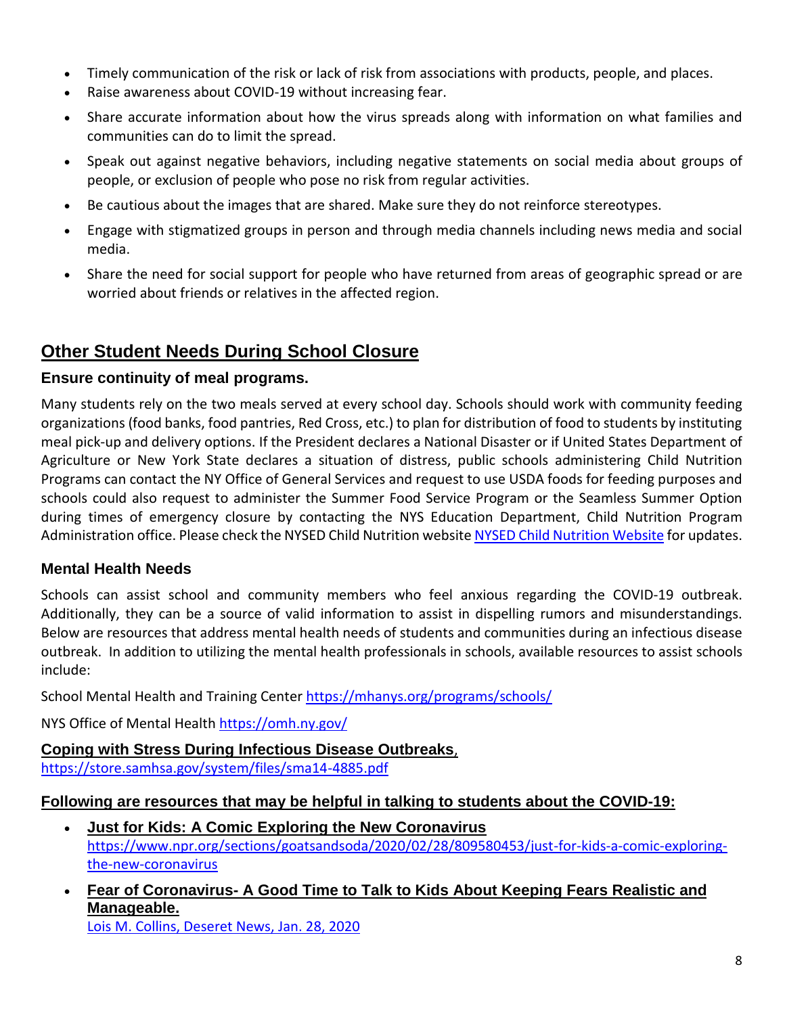- Timely communication of the risk or lack of risk from associations with products, people, and places.
- Raise awareness about COVID-19 without increasing fear.
- Share accurate information about how the virus spreads along with information on what families and communities can do to limit the spread.
- Speak out against negative behaviors, including negative statements on social media about groups of people, or exclusion of people who pose no risk from regular activities.
- Be cautious about the images that are shared. Make sure they do not reinforce stereotypes.
- Engage with stigmatized groups in person and through media channels including news media and social media.
- Share the need for social support for people who have returned from areas of geographic spread or are worried about friends or relatives in the affected region.

## **Other Student Needs During School Closure**

#### **Ensure continuity of meal programs.**

Many students rely on the two meals served at every school day. Schools should work with community feeding organizations (food banks, food pantries, Red Cross, etc.) to plan for distribution of food to students by instituting meal pick-up and delivery options. If the President declares a National Disaster or if United States Department of Agriculture or New York State declares a situation of distress, public schools administering Child Nutrition Programs can contact the NY Office of General Services and request to use USDA foods for feeding purposes and schools could also request to administer the Summer Food Service Program or the Seamless Summer Option during times of emergency closure by contacting the NYS Education Department, Child Nutrition Program Administration office. Please check the NYSED Child [Nutrition](http://www.cn.nysed.gov/) website NYSED Child Nutrition Website for updates.

### **Mental Health Needs**

Schools can assist school and community members who feel anxious regarding the COVID-19 outbreak. Additionally, they can be a source of valid information to assist in dispelling rumors and misunderstandings. Below are resources that address mental health needs of students and communities during an infectious disease outbreak. In addition to utilizing the mental health professionals in schools, available resources to assist schools include:

School Mental Health and Training Center <https://mhanys.org/programs/schools/>

NYS Office of Mental Health <https://omh.ny.gov/>

**Coping with Stress During Infectious Disease Outbreaks**, <https://store.samhsa.gov/system/files/sma14-4885.pdf>

#### **Following are resources that may be helpful in talking to students about the COVID-19:**

- **Just for Kids: A Comic Exploring the New Coronavirus** [https://www.npr.org/sections/goatsandsoda/2020/02/28/809580453/just-for-kids-a-comic-exploring](https://www.npr.org/sections/goatsandsoda/2020/02/28/809580453/just-for-kids-a-comic-exploring-the-new-coronavirus)[the-new-coronavirus](https://www.npr.org/sections/goatsandsoda/2020/02/28/809580453/just-for-kids-a-comic-exploring-the-new-coronavirus)
- **Fear of [Coronavirus-](https://www.deseret.com/indepth/2020/1/28/21112457/fear-coronavirus-china-children-anxiety-health-medicine-virus) A Good Time to Talk to Kids About Keeping Fears Realistic and [Manageable.](https://www.deseret.com/indepth/2020/1/28/21112457/fear-coronavirus-china-children-anxiety-health-medicine-virus)**

Lois M. Collins, Deseret News, Jan. 28, 2020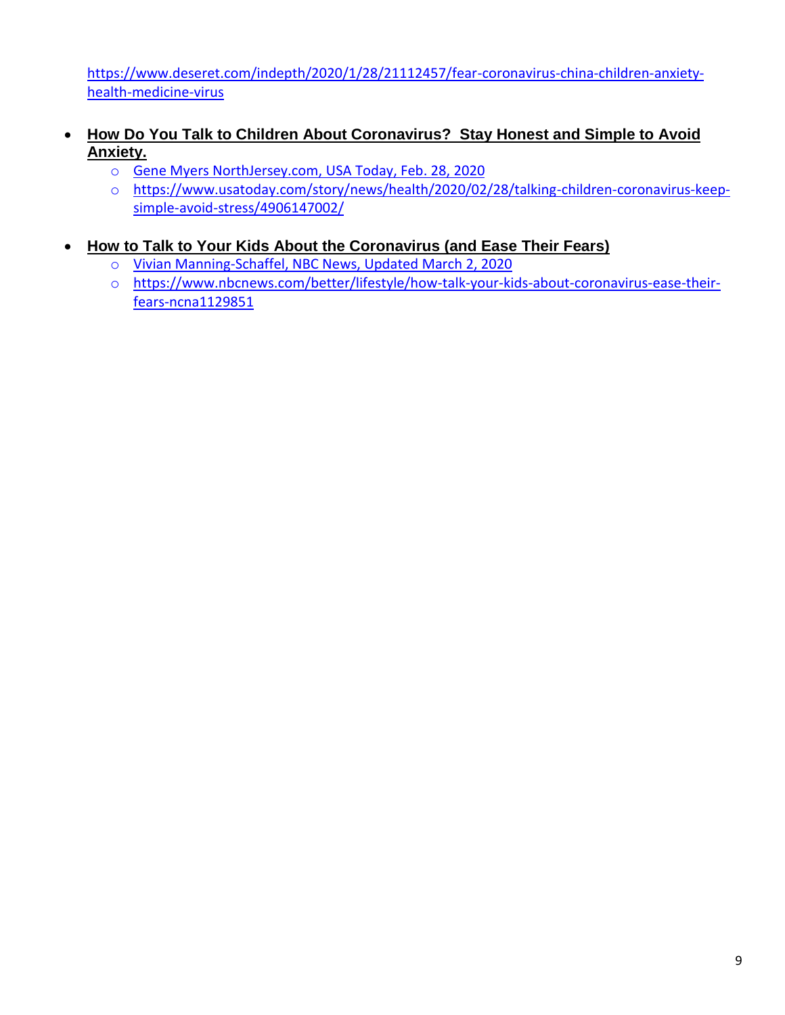[https://www.deseret.com/indepth/2020/1/28/21112457/fear-coronavirus-china-children-anxiety](https://www.deseret.com/indepth/2020/1/28/21112457/fear-coronavirus-china-children-anxiety-health-medicine-virus)[health-medicine-virus](https://www.deseret.com/indepth/2020/1/28/21112457/fear-coronavirus-china-children-anxiety-health-medicine-virus)

- **How Do You Talk to Children About [Coronavirus? Stay](https://www.usatoday.com/story/news/health/2020/02/28/talking-children-coronavirus-keep-simple-avoid-stress/4906147002/) Honest and Simple to Avoid [Anxiety.](https://www.usatoday.com/story/news/health/2020/02/28/talking-children-coronavirus-keep-simple-avoid-stress/4906147002/)**
	- o Gene Myers NorthJersey.com, USA Today, Feb. 28, 2020
	- o [https://www.usatoday.com/story/news/health/2020/02/28/talking-children-coronavirus-keep](https://www.usatoday.com/story/news/health/2020/02/28/talking-children-coronavirus-keep-simple-avoid-stress/4906147002/)[simple-avoid-stress/4906147002/](https://www.usatoday.com/story/news/health/2020/02/28/talking-children-coronavirus-keep-simple-avoid-stress/4906147002/)
- **How to Talk to Your Kids About the [Coronavirus](https://www.nbcnews.com/better/lifestyle/how-talk-your-kids-about-coronavirus-ease-their-fears-ncna1129851) (and Ease Their Fears)**
	- o Vivian Manning-Schaffel, NBC News, Updated March 2, 2020
	- o [https://www.nbcnews.com/better/lifestyle/how-talk-your-kids-about-coronavirus-ease-their](https://www.nbcnews.com/better/lifestyle/how-talk-your-kids-about-coronavirus-ease-their-fears-ncna1129851)[fears-ncna1129851](https://www.nbcnews.com/better/lifestyle/how-talk-your-kids-about-coronavirus-ease-their-fears-ncna1129851)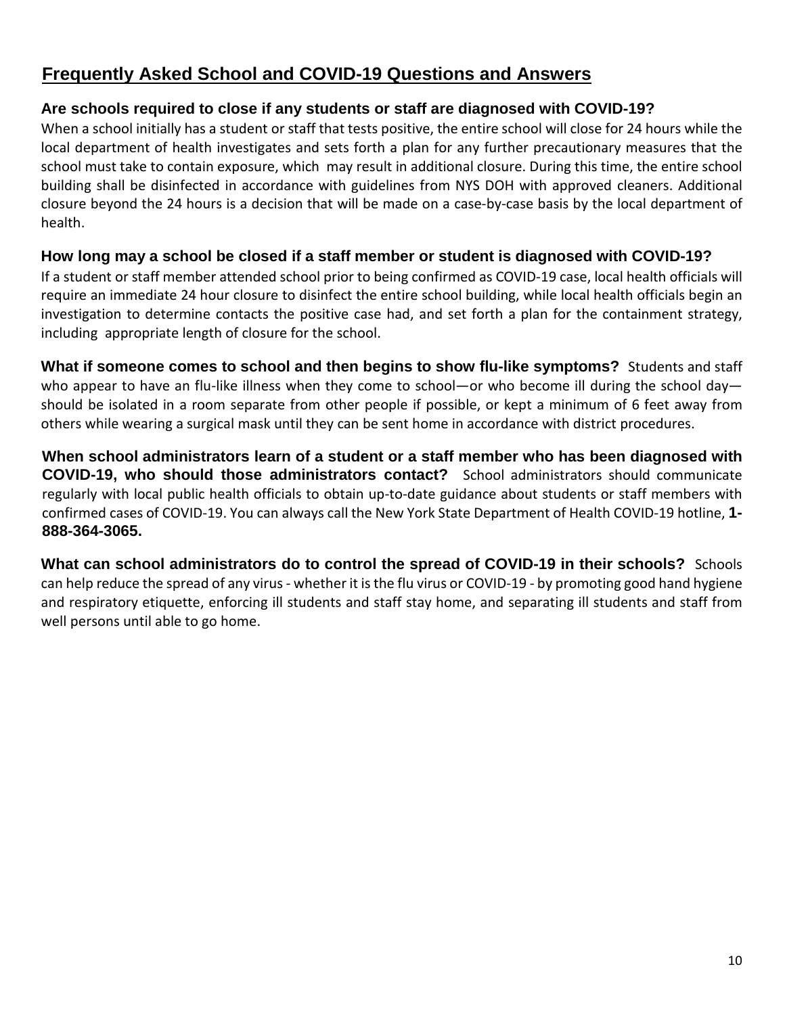## **Frequently Asked School and COVID-19 Questions and Answers**

#### **Are schools required to close if any students or staff are diagnosed with COVID-19?**

When a school initially has a student or staff that tests positive, the entire school will close for 24 hours while the local department of health investigates and sets forth a plan for any further precautionary measures that the school must take to contain exposure, which may result in additional closure. During this time, the entire school building shall be disinfected in accordance with guidelines from NYS DOH with approved cleaners. Additional closure beyond the 24 hours is a decision that will be made on a case-by-case basis by the local department of health.

#### **How long may a school be closed if a staff member or student is diagnosed with COVID-19?**

If a student or staff member attended school prior to being confirmed as COVID-19 case, local health officials will require an immediate 24 hour closure to disinfect the entire school building, while local health officials begin an investigation to determine contacts the positive case had, and set forth a plan for the containment strategy, including appropriate length of closure for the school.

**What if someone comes to school and then begins to show flu-like symptoms?** Students and staff who appear to have an flu-like illness when they come to school—or who become ill during the school day should be isolated in a room separate from other people if possible, or kept a minimum of 6 feet away from others while wearing a surgical mask until they can be sent home in accordance with district procedures.

**When school administrators learn of a student or a staff member who has been diagnosed with COVID-19, who should those administrators contact?** School administrators should communicate regularly with local public health officials to obtain up-to-date guidance about students or staff members with confirmed cases of COVID-19. You can always call the New York State Department of Health COVID-19 hotline, **1- 888-364-3065.**

**What can school administrators do to control the spread of COVID-19 in their schools?** Schools can help reduce the spread of any virus- whether it isthe flu virus or COVID-19 - by promoting good hand hygiene and respiratory etiquette, enforcing ill students and staff stay home, and separating ill students and staff from well persons until able to go home.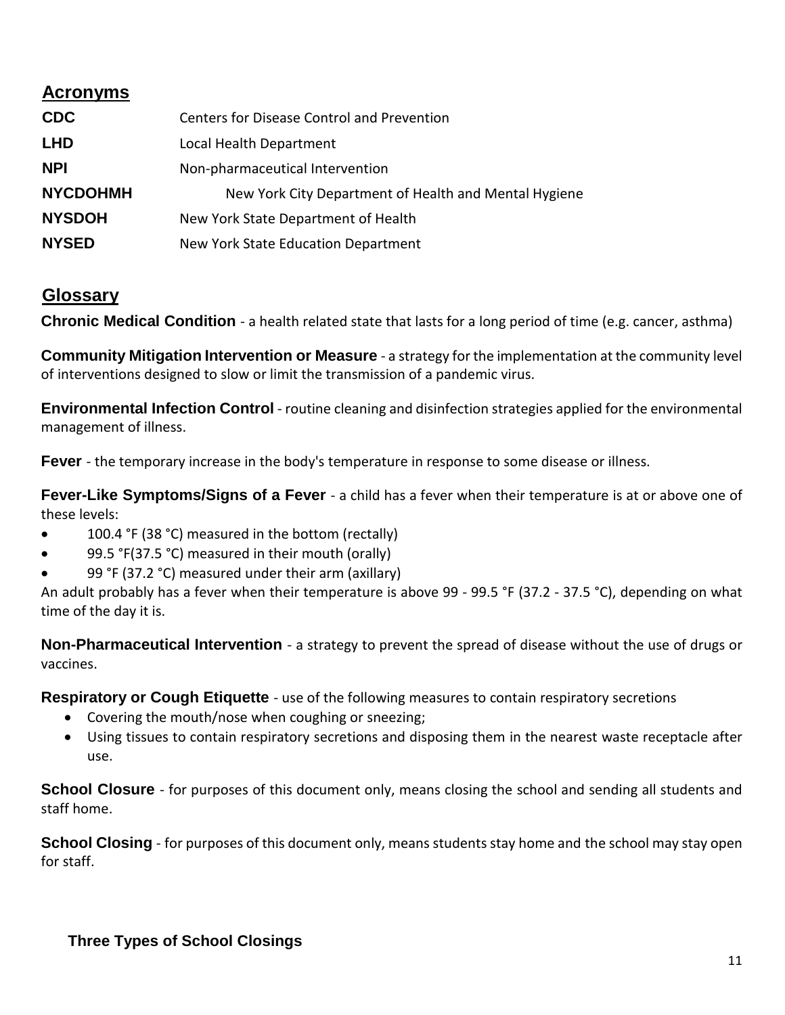## **Acronyms**

| <b>CDC</b>      | Centers for Disease Control and Prevention            |
|-----------------|-------------------------------------------------------|
| <b>LHD</b>      | Local Health Department                               |
| <b>NPI</b>      | Non-pharmaceutical Intervention                       |
| <b>NYCDOHMH</b> | New York City Department of Health and Mental Hygiene |
| <b>NYSDOH</b>   | New York State Department of Health                   |
| <b>NYSED</b>    | New York State Education Department                   |

### **Glossary**

**Chronic Medical Condition** - a health related state that lasts for a long period of time (e.g. cancer, asthma)

**Community Mitigation Intervention or Measure** - a strategy for the implementation at the community level of interventions designed to slow or limit the transmission of a pandemic virus.

**Environmental Infection Control** - routine cleaning and disinfection strategies applied for the environmental management of illness.

**Fever** - the temporary increase in the body's temperature in response to some disease or illness.

**Fever-Like Symptoms/Signs of a Fever** - a child has a fever when their temperature is at or above one of these levels:

- 100.4 °F (38 °C) measured in the bottom (rectally)
- 99.5 °F(37.5 °C) measured in their mouth (orally)
- 99 °F (37.2 °C) measured under their arm (axillary)

An adult probably has a fever when their temperature is above 99 - 99.5 °F (37.2 - 37.5 °C), depending on what time of the day it is.

**Non-Pharmaceutical Intervention** - a strategy to prevent the spread of disease without the use of drugs or vaccines.

**Respiratory or Cough Etiquette** - use of the following measures to contain respiratory secretions

- Covering the mouth/nose when coughing or sneezing;
- Using tissues to contain respiratory secretions and disposing them in the nearest waste receptacle after use.

**School Closure** - for purposes of this document only, means closing the school and sending all students and staff home.

**School Closing** - for purposes of this document only, means students stay home and the school may stay open for staff.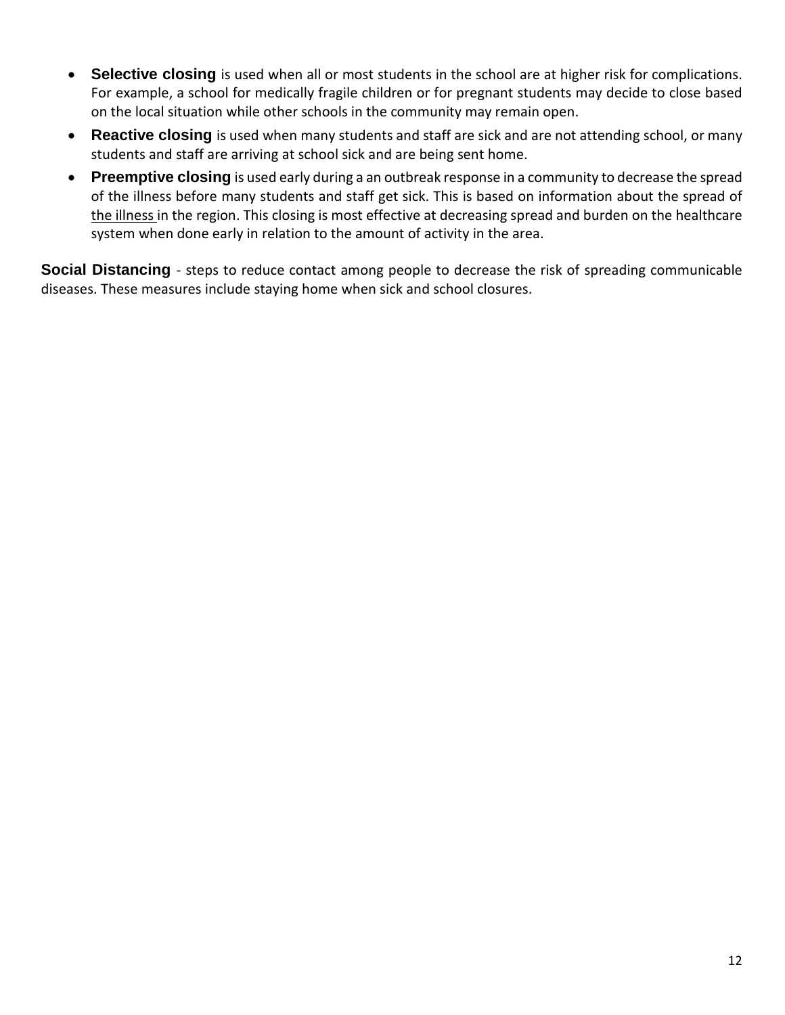- **Selective closing** is used when all or most students in the school are at higher risk for complications. For example, a school for medically fragile children or for pregnant students may decide to close based on the local situation while other schools in the community may remain open.
- **Reactive closing** is used when many students and staff are sick and are not attending school, or many students and staff are arriving at school sick and are being sent home.
- **Preemptive closing** is used early during a an outbreak response in a community to decrease the spread of the illness before many students and staff get sick. This is based on information about the spread of the illness in the region. This closing is most effective at decreasing spread and burden on the healthcare system when done early in relation to the amount of activity in the area.

**Social Distancing** - steps to reduce contact among people to decrease the risk of spreading communicable diseases. These measures include staying home when sick and school closures.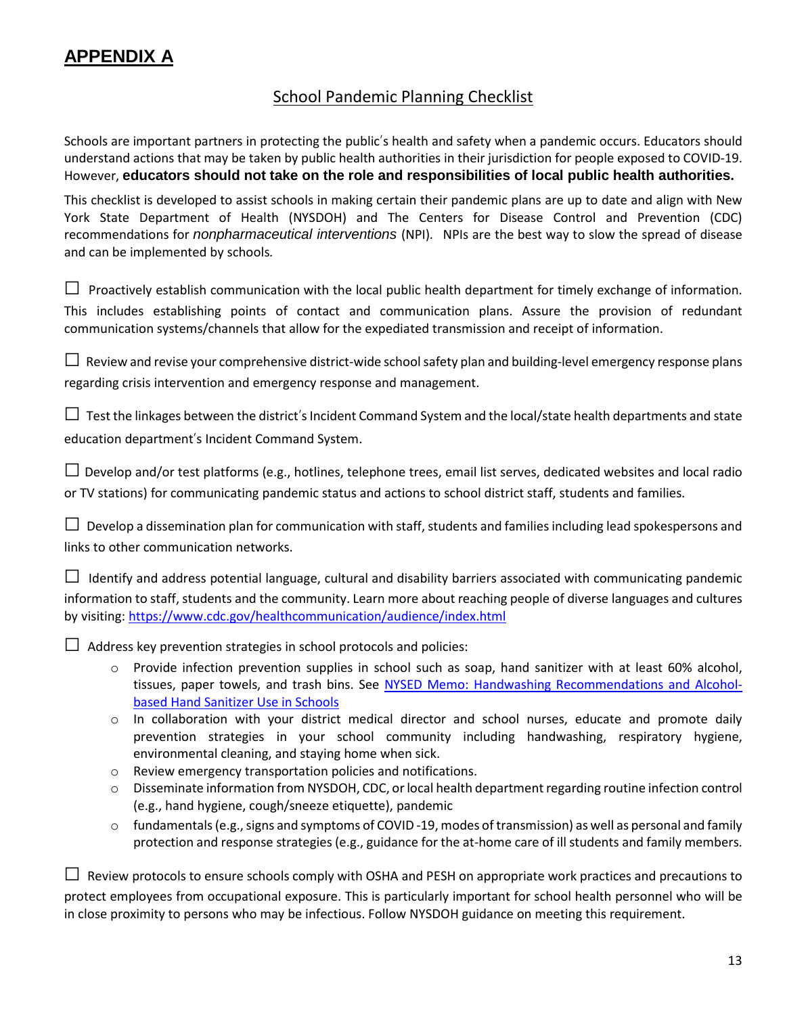## **APPENDIX A**

#### School Pandemic Planning Checklist

Schools are important partners in protecting the public's health and safety when a pandemic occurs. Educators should understand actions that may be taken by public health authorities in their jurisdiction for people exposed to COVID-19. However, **educators should not take on the role and responsibilities of local public health authorities.**

This checklist is developed to assist schools in making certain their pandemic plans are up to date and align with New York State Department of Health (NYSDOH) and The Centers for Disease Control and Prevention (CDC) recommendations for *nonpharmaceutical interventions* (NPI)*.* NPIs are the best way to slow the spread of disease and can be implemented by schools*.*

 $\Box$  Proactively establish communication with the local public health department for timely exchange of information. This includes establishing points of contact and communication plans. Assure the provision of redundant communication systems/channels that allow for the expediated transmission and receipt of information.

 $\Box$  Review and revise your comprehensive district-wide school safety plan and building-level emergency response plans regarding crisis intervention and emergency response and management.

 $\Box$  Test the linkages between the district's Incident Command System and the local/state health departments and state education department's Incident Command System.

 $\Box$  Develop and/or test platforms (e.g., hotlines, telephone trees, email list serves, dedicated websites and local radio or TV stations) for communicating pandemic status and actions to school district staff, students and families.

 $\Box$  Develop a dissemination plan for communication with staff, students and families including lead spokespersons and links to other communication networks.

 $\Box$  Identify and address potential language, cultural and disability barriers associated with communicating pandemic information to staff, students and the community. Learn more about reaching people of diverse languages and cultures by visiting: <https://www.cdc.gov/healthcommunication/audience/index.html>

 $\Box$  Address key prevention strategies in school protocols and policies:

- $\circ$  Provide infection prevention supplies in school such as soap, hand sanitizer with at least 60% alcohol, tissues, paper towels, and trash bins. See NYSED Memo: Handwashing [Recommendations](http://www.p12.nysed.gov/sss/schoolhealth/schoolhealthservices/handwashing-recommendations-alcohol-based-hand-sanitizer-use-in-schools.pdf) and Alcoholbased Hand [Sanitizer](http://www.p12.nysed.gov/sss/schoolhealth/schoolhealthservices/handwashing-recommendations-alcohol-based-hand-sanitizer-use-in-schools.pdf) Use in Schools
- o In collaboration with your district medical director and school nurses, educate and promote daily prevention strategies in your school community including handwashing, respiratory hygiene, environmental cleaning, and staying home when sick.
- o Review emergency transportation policies and notifications.
- o Disseminate information from NYSDOH, CDC, orlocal health department regarding routine infection control (e.g., hand hygiene, cough/sneeze etiquette), pandemic
- o fundamentals(e.g.,signs and symptoms of COVID -19, modes of transmission) as well as personal and family protection and response strategies (e.g., guidance for the at-home care of ill students and family members.

 $\Box$  Review protocols to ensure schools comply with OSHA and PESH on appropriate work practices and precautions to

protect employees from occupational exposure. This is particularly important for school health personnel who will be in close proximity to persons who may be infectious. Follow NYSDOH guidance on meeting this requirement.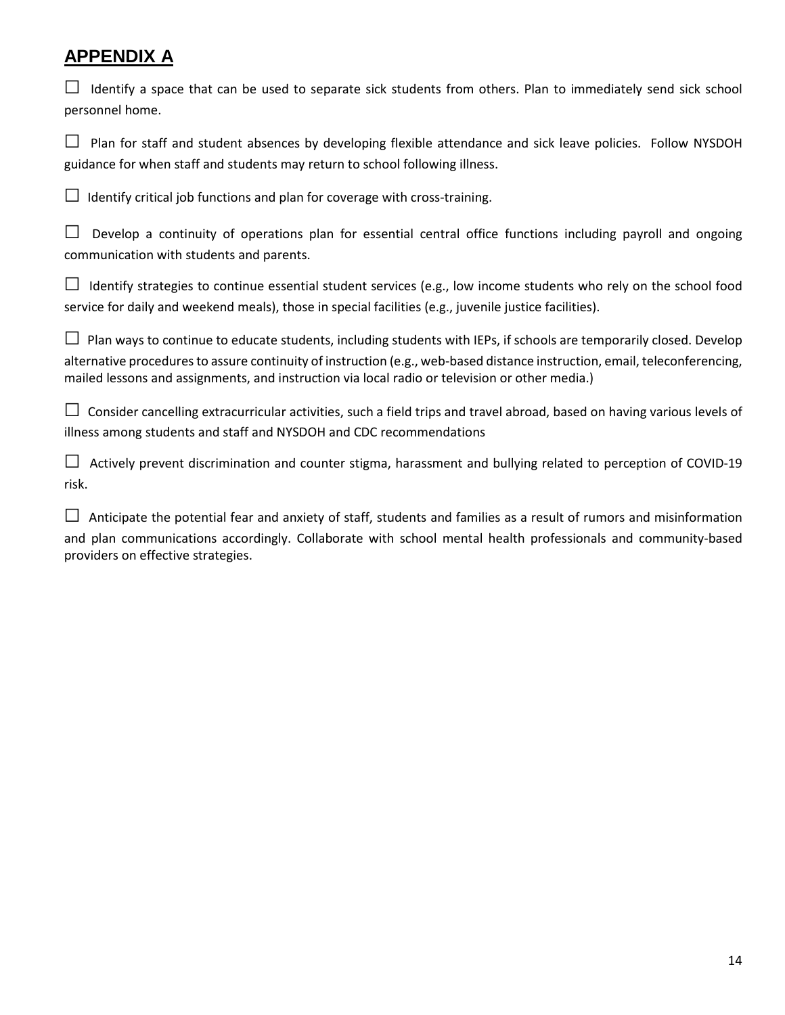# **APPENDIX A**

| Identify a space that can be used to separate sick students from others. Plan to immediately send sick school<br>personnel home.                                                                                                                                                                                                                    |
|-----------------------------------------------------------------------------------------------------------------------------------------------------------------------------------------------------------------------------------------------------------------------------------------------------------------------------------------------------|
| Plan for staff and student absences by developing flexible attendance and sick leave policies. Follow NYSDOH<br>guidance for when staff and students may return to school following illness.                                                                                                                                                        |
| Identify critical job functions and plan for coverage with cross-training.                                                                                                                                                                                                                                                                          |
| Develop a continuity of operations plan for essential central office functions including payroll and ongoing<br>communication with students and parents.                                                                                                                                                                                            |
| Identify strategies to continue essential student services (e.g., low income students who rely on the school food<br>service for daily and weekend meals), those in special facilities (e.g., juvenile justice facilities).                                                                                                                         |
| Plan ways to continue to educate students, including students with IEPs, if schools are temporarily closed. Develop<br>alternative procedures to assure continuity of instruction (e.g., web-based distance instruction, email, teleconferencing,<br>mailed lessons and assignments, and instruction via local radio or television or other media.) |
| Consider cancelling extracurricular activities, such a field trips and travel abroad, based on having various levels of<br>illness among students and staff and NYSDOH and CDC recommendations                                                                                                                                                      |
| Actively prevent discrimination and counter stigma, harassment and bullying related to perception of COVID-19<br>risk.                                                                                                                                                                                                                              |
| Anticipate the potential fear and anxiety of staff, students and families as a result of rumors and misinformation<br>and plan communications accordingly. Collaborate with school mental health professionals and community-based<br>providers on effective strategies.                                                                            |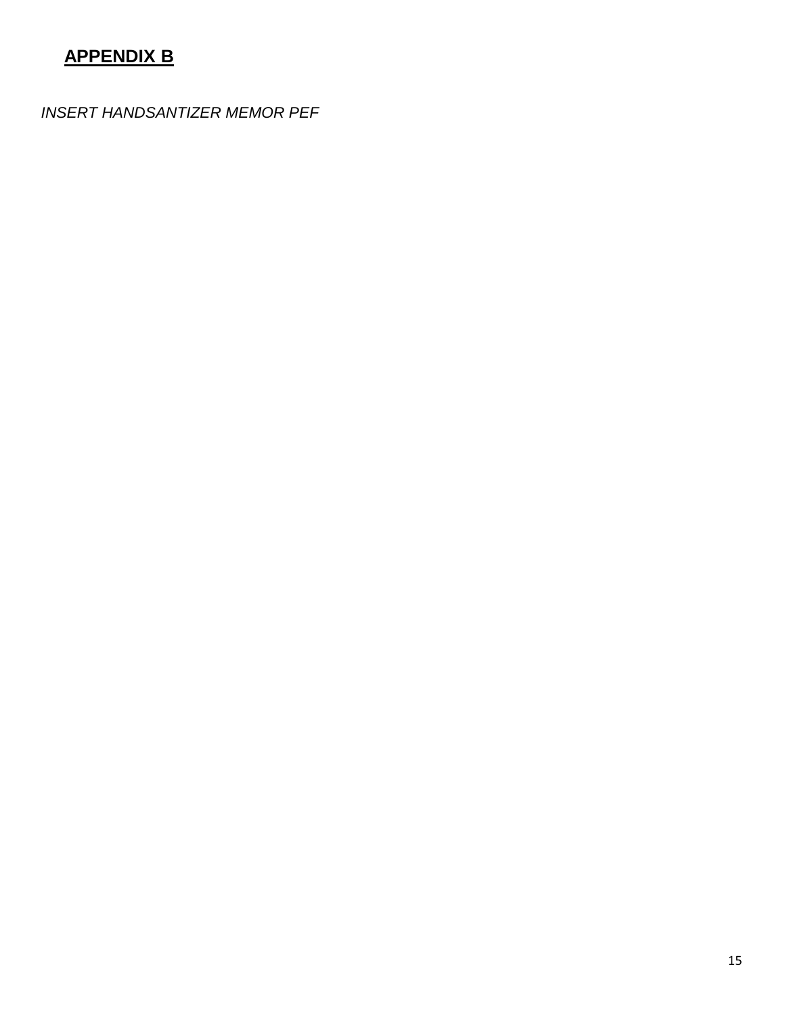# **APPENDIX B**

*INSERT HANDSANTIZER MEMOR PEF*